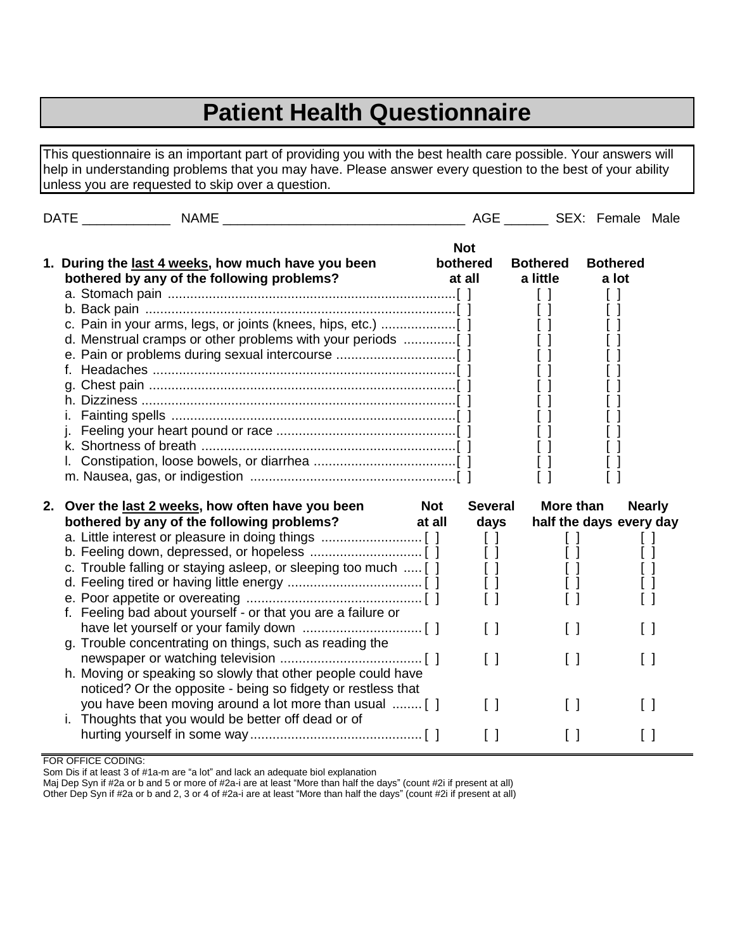## **Patient Health Questionnaire**

This questionnaire is an important part of providing you with the best health care possible. Your answers will help in understanding problems that you may have. Please answer every question to the best of your ability unless you are requested to skip over a question.

DATE \_\_\_\_\_\_\_\_\_\_\_\_ NAME \_\_\_\_\_\_\_\_\_\_\_\_\_\_\_\_\_\_\_\_\_\_\_\_\_\_\_\_\_\_\_\_\_ AGE \_\_\_\_\_\_ SEX: Female Male **Not 1. During the last 4 weeks, how much have you been bothered Bothered Bothered bothered by any of the following problems? at all a little a lot** a. Stomach pain .............................................................................[ ] [ ] [ ] b. Back pain ...................................................................................[ ] [ ] [ ] c. Pain in your arms, legs, or joints (knees, hips, etc.)  $\ldots$  $\ldots$  $\ldots$  [ ] [ ] [ ] d. Menstrual cramps or other problems with your periods ......................... [ ] [ ] [ ] e. Pain or problems during sexual intercourse ................................[ ] [ ] [ ] f. Headaches .................................................................................[ ] [ ] [ ] g. Chest pain ..................................................................................[ ] [ ] [ ] h. Dizziness ....................................................................................[ ] [ ] [ ] i. Fainting spells ............................................................................[ ] [ ] [ ] j. Feeling your heart pound or race ................................................[ ] [ ] [ ] k. Shortness of breath ....................................................................[ ] [ ] [ ] l. Constipation, loose bowels, or diarrhea ......................................[ ] [ ] [ ] m. Nausea, gas, or indigestion .......................................................[ ] [ ] [ ] **2.** Over the last 2 weeks, how often have you been Not Several More than Nearly **bothered by any of the following problems? at all days half the days every day** a. Little interest or pleasure in doing things  $\ldots$  $\ldots$  $\ldots$  $\ldots$  $\ldots$  $\ldots$  [ ] [ ] [ ] [ ] [ ] b. Feeling down, depressed, or hopeless .............................. [ ] [ ] [ ] [ ] c. Trouble falling or staying asleep, or sleeping too much ..... [ ] [ ] [ ] [ ] [ ] d. Feeling tired or having little energy .................................... [ ] [ ] [ ] [ ] e. Poor appetite or overeating ............................................... [ ] [ ] [ ] [ ] f. Feeling bad about yourself - or that you are a failure or have let yourself or your family down ................................ [ ] [ ] [ ] [ ] g. Trouble concentrating on things, such as reading the newspaper or watching television ...................................... [ ] [ ] [ ] [ ] h. Moving or speaking so slowly that other people could have noticed? Or the opposite - being so fidgety or restless that you have been moving around a lot more than usual  $\ldots \ldots$  [ ] [ ] [ ] [ ] [ ] i. Thoughts that you would be better off dead or of hurting yourself in some way.............................................. [ ] [ ] [ ] [ ]

FOR OFFICE CODING:

Som Dis if at least 3 of #1a-m are "a lot" and lack an adequate biol explanation

Maj Dep Syn if #2a or b and 5 or more of #2a-i are at least "More than half the days" (count #2i if present at all)

Other Dep Syn if #2a or b and 2, 3 or 4 of #2a-i are at least "More than half the days" (count #2i if present at all)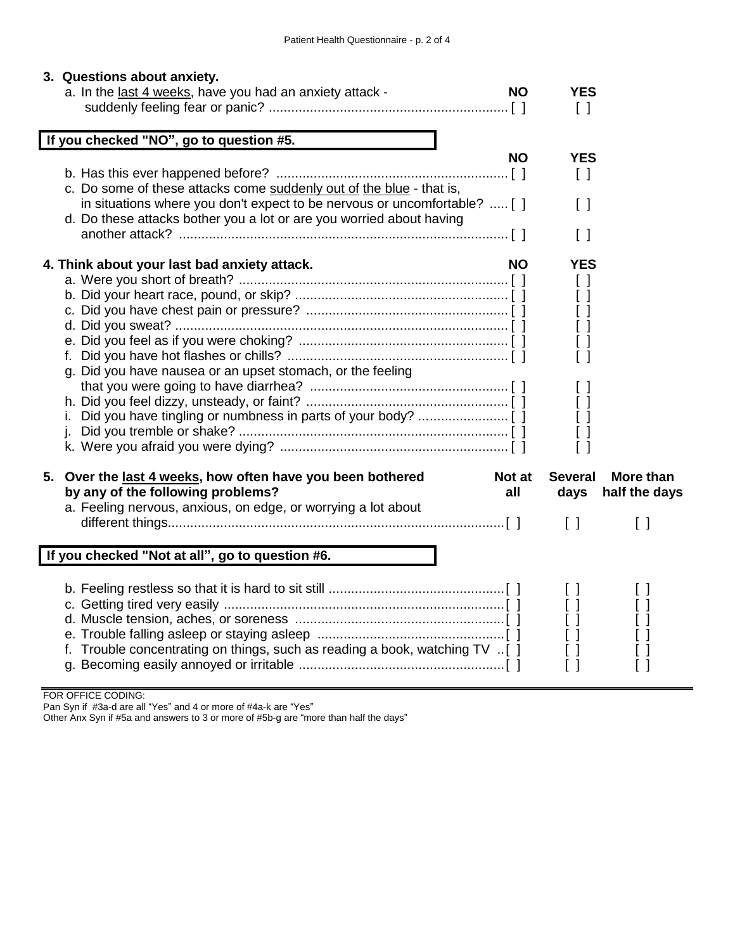| 3. Questions about anxiety.<br>a. In the last 4 weeks, have you had an anxiety attack -<br><b>NO</b><br>If you checked "NO", go to question #5.                                                                                                 | <b>YES</b><br>$\begin{bmatrix} \end{bmatrix}$                                                                                                                                                                                                                                                                                |                                                               |
|-------------------------------------------------------------------------------------------------------------------------------------------------------------------------------------------------------------------------------------------------|------------------------------------------------------------------------------------------------------------------------------------------------------------------------------------------------------------------------------------------------------------------------------------------------------------------------------|---------------------------------------------------------------|
| <b>NO</b>                                                                                                                                                                                                                                       | <b>YES</b><br>$\begin{bmatrix} \end{bmatrix}$                                                                                                                                                                                                                                                                                |                                                               |
| c. Do some of these attacks come suddenly out of the blue - that is,                                                                                                                                                                            |                                                                                                                                                                                                                                                                                                                              |                                                               |
| in situations where you don't expect to be nervous or uncomfortable?  []                                                                                                                                                                        | $\begin{bmatrix} \end{bmatrix}$                                                                                                                                                                                                                                                                                              |                                                               |
| d. Do these attacks bother you a lot or are you worried about having                                                                                                                                                                            | $\begin{smallmatrix}1\end{smallmatrix}$                                                                                                                                                                                                                                                                                      |                                                               |
| 4. Think about your last bad anxiety attack.<br><b>NO</b>                                                                                                                                                                                       | <b>YES</b>                                                                                                                                                                                                                                                                                                                   |                                                               |
| g. Did you have nausea or an upset stomach, or the feeling<br>5. Over the last 4 weeks, how often have you been bothered<br>Not at<br>by any of the following problems?<br>all<br>a. Feeling nervous, anxious, on edge, or worrying a lot about | $\Box$<br>$\begin{bmatrix} 1 \end{bmatrix}$<br>$\begin{smallmatrix} \end{smallmatrix}$<br>$\Box$<br>$\left[ \ \right]$<br>$\begin{bmatrix} \end{bmatrix}$<br>$\left[ \begin{array}{c} \end{array} \right]$<br>$\Box$<br>$\Box$<br>$[\ ]$<br>$\lceil$ $\rceil$<br><b>Several</b><br>days<br>$\begin{bmatrix} 1 \end{bmatrix}$ | More than<br>half the days<br>$\begin{bmatrix} \end{bmatrix}$ |
| If you checked "Not at all", go to question #6.                                                                                                                                                                                                 |                                                                                                                                                                                                                                                                                                                              |                                                               |
|                                                                                                                                                                                                                                                 |                                                                                                                                                                                                                                                                                                                              |                                                               |
| f. Trouble concentrating on things, such as reading a book, watching TV [ ]                                                                                                                                                                     | $\begin{bmatrix} 1 \end{bmatrix}$<br>$\lceil$ $\rceil$<br>$\begin{bmatrix} \end{bmatrix}$<br>$\Box$<br>$\Box$<br>$\lceil$ $\rceil$                                                                                                                                                                                           |                                                               |

FOR OFFICE CODING:

Pan Syn if #3a-d are all "Yes" and 4 or more of #4a-k are "Yes"

Other Anx Syn if #5a and answers to 3 or more of #5b-g are "more than half the days"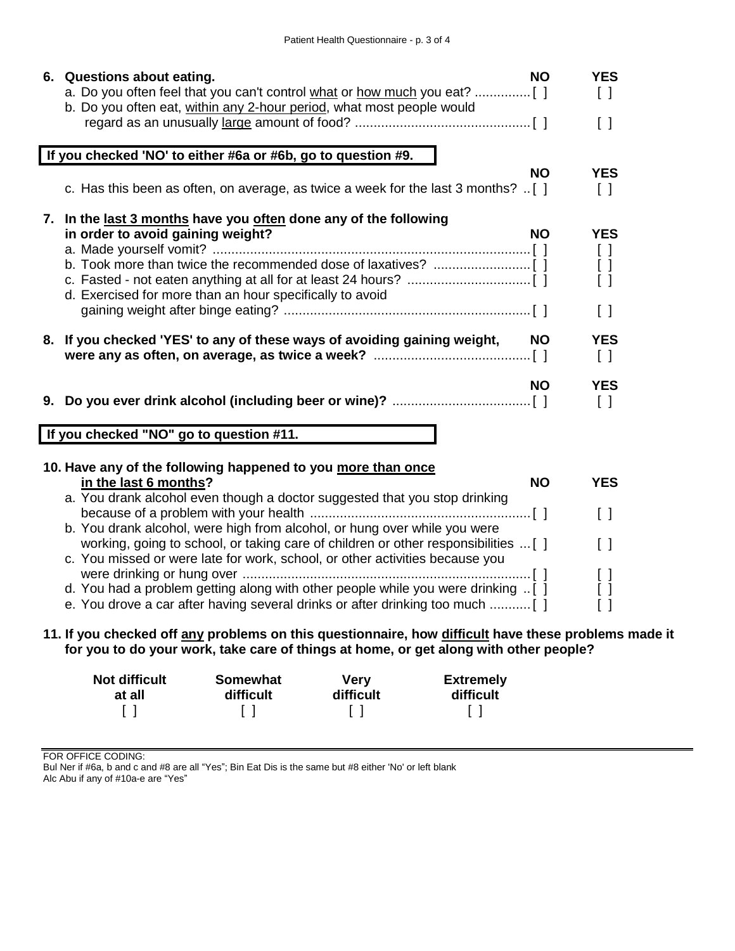|                                                                                                                  | 6. Questions about eating.<br>a. Do you often feel that you can't control what or how much you eat? [ ]<br>b. Do you often eat, within any 2-hour period, what most people would | <b>NO</b> | <b>YES</b><br>$\Box$<br>$\begin{bmatrix} \end{bmatrix}$                                                                   |  |  |  |  |
|------------------------------------------------------------------------------------------------------------------|----------------------------------------------------------------------------------------------------------------------------------------------------------------------------------|-----------|---------------------------------------------------------------------------------------------------------------------------|--|--|--|--|
|                                                                                                                  | If you checked 'NO' to either #6a or #6b, go to question #9.                                                                                                                     |           |                                                                                                                           |  |  |  |  |
|                                                                                                                  | c. Has this been as often, on average, as twice a week for the last 3 months?  [ ]                                                                                               | <b>NO</b> | <b>YES</b><br>$\Box$                                                                                                      |  |  |  |  |
|                                                                                                                  | 7. In the last 3 months have you often done any of the following<br>in order to avoid gaining weight?<br>d. Exercised for more than an hour specifically to avoid                | <b>NO</b> | <b>YES</b><br>$\begin{bmatrix} 1 \end{bmatrix}$<br>$\left[ \ \right]$<br>$\left[ \quad \right]$<br>$\left[ \quad \right]$ |  |  |  |  |
|                                                                                                                  | 8. If you checked 'YES' to any of these ways of avoiding gaining weight,                                                                                                         | <b>NO</b> | <b>YES</b><br>$\begin{bmatrix} \end{bmatrix}$                                                                             |  |  |  |  |
| 9.                                                                                                               |                                                                                                                                                                                  | <b>NO</b> | <b>YES</b><br>$\Box$                                                                                                      |  |  |  |  |
|                                                                                                                  | If you checked "NO" go to question #11.                                                                                                                                          |           |                                                                                                                           |  |  |  |  |
| 10. Have any of the following happened to you more than once<br>in the last 6 months?<br><b>NO</b><br><b>YES</b> |                                                                                                                                                                                  |           |                                                                                                                           |  |  |  |  |
|                                                                                                                  | a. You drank alcohol even though a doctor suggested that you stop drinking                                                                                                       |           |                                                                                                                           |  |  |  |  |
|                                                                                                                  | b. You drank alcohol, were high from alcohol, or hung over while you were                                                                                                        |           | $\left[ \begin{array}{c} \end{array} \right]$                                                                             |  |  |  |  |
|                                                                                                                  | working, going to school, or taking care of children or other responsibilities  []                                                                                               |           | $\lceil$ ]                                                                                                                |  |  |  |  |
|                                                                                                                  | c. You missed or were late for work, school, or other activities because you                                                                                                     |           | []                                                                                                                        |  |  |  |  |
|                                                                                                                  | d. You had a problem getting along with other people while you were drinking  []<br>e. You drove a car after having several drinks or after drinking too much  [ ]               |           | $\left[ \ \right]$<br>$\lceil$ $\rceil$                                                                                   |  |  |  |  |

**11. If you checked off any problems on this questionnaire, how difficult have these problems made it for you to do your work, take care of things at home, or get along with other people?**

| <b>Not difficult</b> | Somewhat  | Verv      | <b>Extremely</b> |
|----------------------|-----------|-----------|------------------|
| at all               | difficult | difficult | difficult        |
| $\Box$               |           | $\Box$    | $\perp$          |

FOR OFFICE CODING:

Bul Ner if #6a, b and c and #8 are all "Yes"; Bin Eat Dis is the same but #8 either 'No' or left blank Alc Abu if any of #10a-e are "Yes"